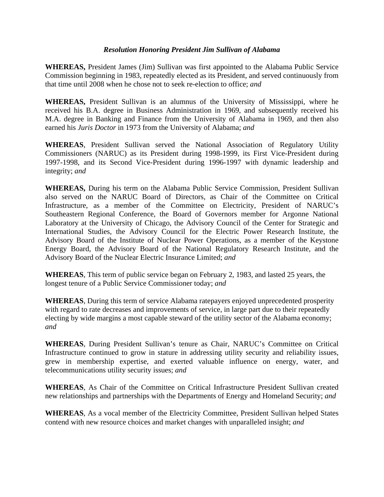## *Resolution Honoring President Jim Sullivan of Alabama*

**WHEREAS,** President James (Jim) Sullivan was first appointed to the Alabama Public Service Commission beginning in 1983, repeatedly elected as its President, and served continuously from that time until 2008 when he chose not to seek re-election to office; *and* 

**WHEREAS,** President Sullivan is an alumnus of the University of Mississippi, where he received his B.A. degree in Business Administration in 1969, and subsequently received his M.A. degree in Banking and Finance from the University of Alabama in 1969, and then also earned his *Juris Doctor* in 1973 from the University of Alabama; *and* 

**WHEREAS**, President Sullivan served the National Association of Regulatory Utility Commissioners (NARUC) as its President during 1998-1999, its First Vice-President during 1997-1998, and its Second Vice-President during 1996-1997 with dynamic leadership and integrity; *and* 

**WHEREAS,** During his term on the Alabama Public Service Commission, President Sullivan also served on the NARUC Board of Directors, as Chair of the Committee on Critical Infrastructure, as a member of the Committee on Electricity, President of NARUC's Southeastern Regional Conference, the Board of Governors member for Argonne National Laboratory at the University of Chicago, the Advisory Council of the Center for Strategic and International Studies, the Advisory Council for the Electric Power Research Institute, the Advisory Board of the Institute of Nuclear Power Operations, as a member of the Keystone Energy Board, the Advisory Board of the National Regulatory Research Institute, and the Advisory Board of the Nuclear Electric Insurance Limited; *and* 

**WHEREAS**, This term of public service began on February 2, 1983, and lasted 25 years, the longest tenure of a Public Service Commissioner today; *and* 

**WHEREAS**, During this term of service Alabama ratepayers enjoyed unprecedented prosperity with regard to rate decreases and improvements of service, in large part due to their repeatedly electing by wide margins a most capable steward of the utility sector of the Alabama economy; *and* 

**WHEREAS**, During President Sullivan's tenure as Chair, NARUC's Committee on Critical Infrastructure continued to grow in stature in addressing utility security and reliability issues, grew in membership expertise, and exerted valuable influence on energy, water, and telecommunications utility security issues; *and*

**WHEREAS**, As Chair of the Committee on Critical Infrastructure President Sullivan created new relationships and partnerships with the Departments of Energy and Homeland Security; *and*

**WHEREAS**, As a vocal member of the Electricity Committee, President Sullivan helped States contend with new resource choices and market changes with unparalleled insight; *and*